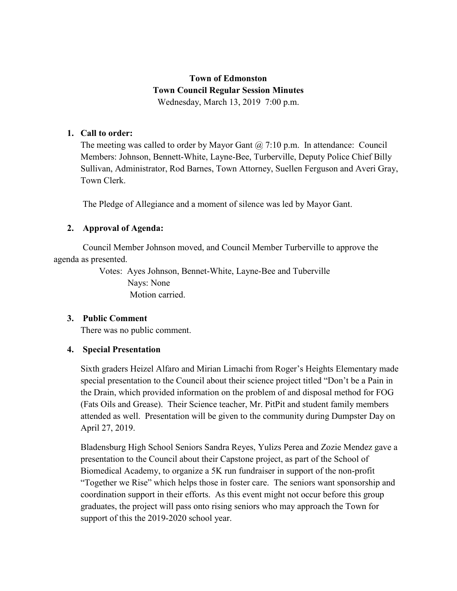# **Town of Edmonston Town Council Regular Session Minutes** Wednesday, March 13, 2019 7:00 p.m.

#### **1. Call to order:**

The meeting was called to order by Mayor Gant  $\omega$  7:10 p.m. In attendance: Council Members: Johnson, Bennett-White, Layne-Bee, Turberville, Deputy Police Chief Billy Sullivan, Administrator, Rod Barnes, Town Attorney, Suellen Ferguson and Averi Gray, Town Clerk.

The Pledge of Allegiance and a moment of silence was led by Mayor Gant.

# **2. Approval of Agenda:**

 Council Member Johnson moved, and Council Member Turberville to approve the agenda as presented.

> Votes: Ayes Johnson, Bennet-White, Layne-Bee and Tuberville Nays: None Motion carried.

# **3. Public Comment**

There was no public comment.

# **4. Special Presentation**

Sixth graders Heizel Alfaro and Mirian Limachi from Roger's Heights Elementary made special presentation to the Council about their science project titled "Don't be a Pain in the Drain, which provided information on the problem of and disposal method for FOG (Fats Oils and Grease). Their Science teacher, Mr. PitPit and student family members attended as well. Presentation will be given to the community during Dumpster Day on April 27, 2019.

Bladensburg High School Seniors Sandra Reyes, Yulizs Perea and Zozie Mendez gave a presentation to the Council about their Capstone project, as part of the School of Biomedical Academy, to organize a 5K run fundraiser in support of the non-profit "Together we Rise" which helps those in foster care. The seniors want sponsorship and coordination support in their efforts. As this event might not occur before this group graduates, the project will pass onto rising seniors who may approach the Town for support of this the 2019-2020 school year.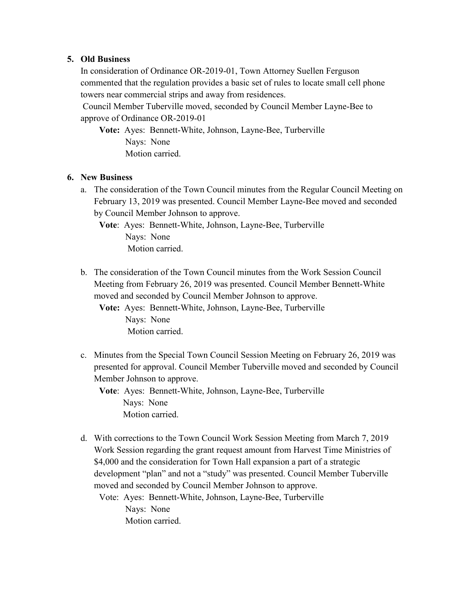#### **5. Old Business**

In consideration of Ordinance OR-2019-01, Town Attorney Suellen Ferguson commented that the regulation provides a basic set of rules to locate small cell phone towers near commercial strips and away from residences.

Council Member Tuberville moved, seconded by Council Member Layne-Bee to approve of Ordinance OR-2019-01

**Vote:** Ayes: Bennett-White, Johnson, Layne-Bee, Turberville Nays: None Motion carried.

#### **6. New Business**

a. The consideration of the Town Council minutes from the Regular Council Meeting on February 13, 2019 was presented. Council Member Layne-Bee moved and seconded by Council Member Johnson to approve.

**Vote**: Ayes: Bennett-White, Johnson, Layne-Bee, Turberville Nays: None Motion carried.

b. The consideration of the Town Council minutes from the Work Session Council Meeting from February 26, 2019 was presented. Council Member Bennett-White moved and seconded by Council Member Johnson to approve.

**Vote:** Ayes: Bennett-White, Johnson, Layne-Bee, Turberville Nays: None Motion carried.

c. Minutes from the Special Town Council Session Meeting on February 26, 2019 was presented for approval. Council Member Tuberville moved and seconded by Council Member Johnson to approve.

**Vote**: Ayes: Bennett-White, Johnson, Layne-Bee, Turberville Nays: None Motion carried.

d. With corrections to the Town Council Work Session Meeting from March 7, 2019 Work Session regarding the grant request amount from Harvest Time Ministries of \$4,000 and the consideration for Town Hall expansion a part of a strategic development "plan" and not a "study" was presented. Council Member Tuberville moved and seconded by Council Member Johnson to approve.

Vote: Ayes: Bennett-White, Johnson, Layne-Bee, Turberville Nays: None Motion carried.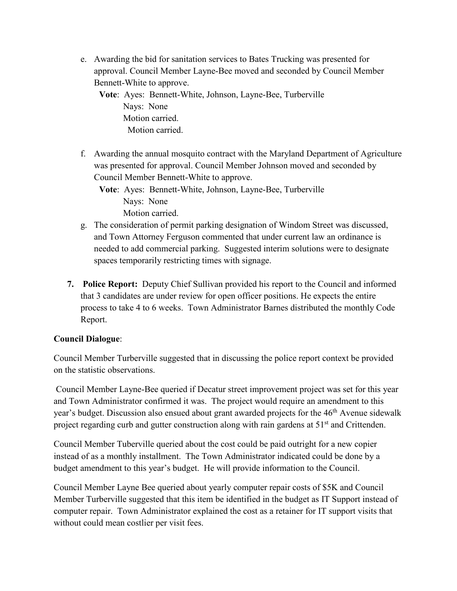e. Awarding the bid for sanitation services to Bates Trucking was presented for approval. Council Member Layne-Bee moved and seconded by Council Member Bennett-White to approve.

**Vote**: Ayes: Bennett-White, Johnson, Layne-Bee, Turberville Nays: None Motion carried. Motion carried.

f. Awarding the annual mosquito contract with the Maryland Department of Agriculture was presented for approval. Council Member Johnson moved and seconded by Council Member Bennett-White to approve.

**Vote**: Ayes: Bennett-White, Johnson, Layne-Bee, Turberville Nays: None Motion carried.

- g. The consideration of permit parking designation of Windom Street was discussed, and Town Attorney Ferguson commented that under current law an ordinance is needed to add commercial parking. Suggested interim solutions were to designate spaces temporarily restricting times with signage.
- **7. Police Report:** Deputy Chief Sullivan provided his report to the Council and informed that 3 candidates are under review for open officer positions. He expects the entire process to take 4 to 6 weeks. Town Administrator Barnes distributed the monthly Code Report.

# **Council Dialogue**:

Council Member Turberville suggested that in discussing the police report context be provided on the statistic observations.

Council Member Layne-Bee queried if Decatur street improvement project was set for this year and Town Administrator confirmed it was. The project would require an amendment to this year's budget. Discussion also ensued about grant awarded projects for the 46<sup>th</sup> Avenue sidewalk project regarding curb and gutter construction along with rain gardens at 51<sup>st</sup> and Crittenden.

Council Member Tuberville queried about the cost could be paid outright for a new copier instead of as a monthly installment. The Town Administrator indicated could be done by a budget amendment to this year's budget. He will provide information to the Council.

Council Member Layne Bee queried about yearly computer repair costs of \$5K and Council Member Turberville suggested that this item be identified in the budget as IT Support instead of computer repair. Town Administrator explained the cost as a retainer for IT support visits that without could mean costlier per visit fees.